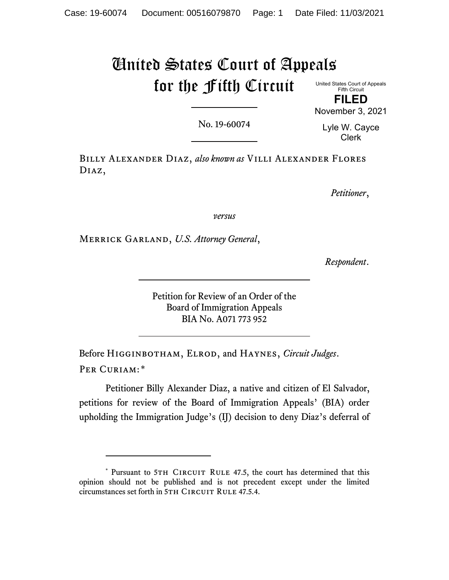# United States Court of Appeals for the Fifth Circuit

United States Court of Appeals Fifth Circuit **FILED**

No. 19-60074

Lyle W. Cayce Clerk

November 3, 2021

Billy Alexander Diaz, *also known as* Villi Alexander Flores Diaz,

*Petitioner*,

*versus*

Merrick Garland, *U.S. Attorney General*,

*Respondent*.

Petition for Review of an Order of the Board of Immigration Appeals BIA No. A071 773 952

Before Higginbotham, Elrod, and Haynes, *Circuit Judges*. PER CURIAM:[\\*](#page-0-0)

Petitioner Billy Alexander Diaz, a native and citizen of El Salvador, petitions for review of the Board of Immigration Appeals' (BIA) order upholding the Immigration Judge's (IJ) decision to deny Diaz's deferral of

<span id="page-0-0"></span><sup>\*</sup> Pursuant to 5TH CIRCUIT RULE 47.5, the court has determined that this opinion should not be published and is not precedent except under the limited circumstances set forth in 5TH CIRCUIT RULE 47.5.4.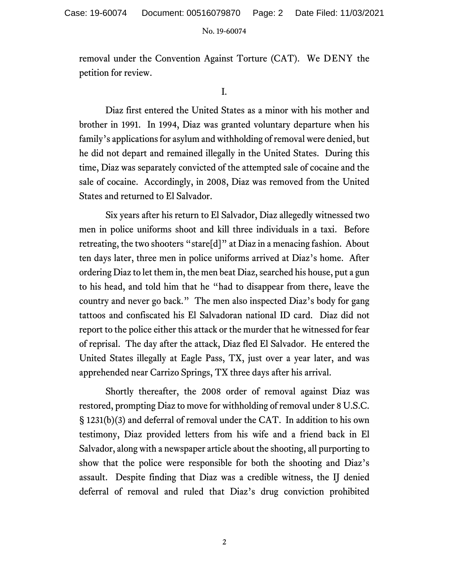removal under the Convention Against Torture (CAT). We DENY the petition for review.

I.

Diaz first entered the United States as a minor with his mother and brother in 1991. In 1994, Diaz was granted voluntary departure when his family's applications for asylum and withholding of removal were denied, but he did not depart and remained illegally in the United States. During this time, Diaz was separately convicted of the attempted sale of cocaine and the sale of cocaine. Accordingly, in 2008, Diaz was removed from the United States and returned to El Salvador.

Six years after his return to El Salvador, Diaz allegedly witnessed two men in police uniforms shoot and kill three individuals in a taxi. Before retreating, the two shooters "stare[d]" at Diaz in a menacing fashion. About ten days later, three men in police uniforms arrived at Diaz's home. After ordering Diaz to let them in, the men beat Diaz, searched his house, put a gun to his head, and told him that he "had to disappear from there, leave the country and never go back." The men also inspected Diaz's body for gang tattoos and confiscated his El Salvadoran national ID card.Diaz did not report to the police either this attack or the murder that he witnessed for fear of reprisal. The day after the attack, Diaz fled El Salvador. He entered the United States illegally at Eagle Pass, TX, just over a year later, and was apprehended near Carrizo Springs, TX three days after his arrival.

Shortly thereafter, the 2008 order of removal against Diaz was restored, prompting Diaz to move for withholding of removal under 8 U.S.C. § 1231(b)(3) and deferral of removal under the CAT. In addition to his own testimony, Diaz provided letters from his wife and a friend back in El Salvador, along with a newspaper article about the shooting, all purporting to show that the police were responsible for both the shooting and Diaz's assault. Despite finding that Diaz was a credible witness, the IJ denied deferral of removal and ruled that Diaz's drug conviction prohibited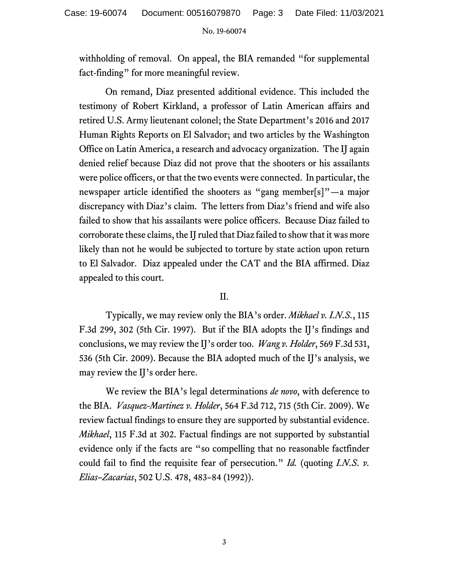withholding of removal. On appeal, the BIA remanded "for supplemental fact-finding" for more meaningful review.

On remand, Diaz presented additional evidence. This included the testimony of Robert Kirkland, a professor of Latin American affairs and retired U.S. Army lieutenant colonel; the State Department's 2016 and 2017 Human Rights Reports on El Salvador; and two articles by the Washington Office on Latin America, a research and advocacy organization. The IJ again denied relief because Diaz did not prove that the shooters or his assailants were police officers, or that the two events were connected. In particular, the newspaper article identified the shooters as "gang member[s]"—a major discrepancy with Diaz's claim. The letters from Diaz's friend and wife also failed to show that his assailants were police officers. Because Diaz failed to corroborate these claims, the IJ ruled that Diaz failed to show that it was more likely than not he would be subjected to torture by state action upon return to El Salvador. Diaz appealed under the CAT and the BIA affirmed. Diaz appealed to this court.

# II.

Typically, we may review only the BIA's order. *Mikhael v. I.N.S.*, 115 F.3d 299, 302 (5th Cir. 1997). But if the BIA adopts the IJ's findings and conclusions, we may review the IJ's order too. *Wang v. Holder*, 569 F.3d 531, 536 (5th Cir. 2009). Because the BIA adopted much of the IJ's analysis, we may review the IJ's order here.

We review the BIA's legal determinations *de novo*, with deference to the BIA. *Vasquez-Martinez v. Holder*, 564 F.3d 712, 715 (5th Cir. 2009). We review factual findings to ensure they are supported by substantial evidence. *Mikhael*, 115 F.3d at 302. Factual findings are not supported by substantial evidence only if the facts are "so compelling that no reasonable factfinder could fail to find the requisite fear of persecution." *Id.* (quoting *I.N.S. v. Elias–Zacarias*, 502 U.S. 478, 483–84 (1992)).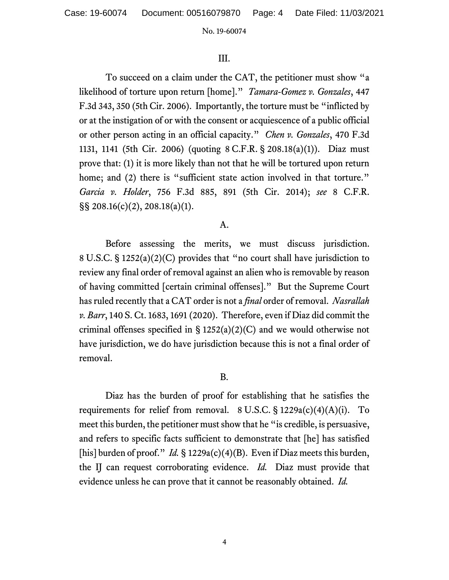Case: 19-60074 Document: 00516079870 Page: 4 Date Filed: 11/03/2021

#### No. 19-60074

# III.

To succeed on a claim under the CAT, the petitioner must show "a likelihood of torture upon return [home]." *Tamara-Gomez v. Gonzales*, 447 F.3d 343, 350 (5th Cir. 2006). Importantly, the torture must be "inflicted by or at the instigation of or with the consent or acquiescence of a public official or other person acting in an official capacity." *Chen v. Gonzales*, 470 F.3d 1131, 1141 (5th Cir. 2006) (quoting 8 C.F.R. § 208.18(a)(1)). Diaz must prove that: (1) it is more likely than not that he will be tortured upon return home; and (2) there is "sufficient state action involved in that torture." *Garcia v. Holder*, 756 F.3d 885, 891 (5th Cir. 2014); *see* 8 C.F.R. §§ 208.16(c)(2), 208.18(a)(1).

## A.

Before assessing the merits, we must discuss jurisdiction. 8 U.S.C. § 1252(a)(2)(C) provides that "no court shall have jurisdiction to review any final order of removal against an alien who is removable by reason of having committed [certain criminal offenses]." But the Supreme Court has ruled recently that a CAT order is not a *final* order of removal. *Nasrallah v. Barr*, 140 S. Ct. 1683, 1691 (2020). Therefore, even if Diaz did commit the criminal offenses specified in  $\S 1252(a)(2)(C)$  and we would otherwise not have jurisdiction, we do have jurisdiction because this is not a final order of removal.

## B.

Diaz has the burden of proof for establishing that he satisfies the requirements for relief from removal.  $8 \text{ U.S.C.} \$   $1229a(c)(4)(A)(i)$ . To meet this burden, the petitioner must show that he "is credible, is persuasive, and refers to specific facts sufficient to demonstrate that [he] has satisfied [his] burden of proof." *Id.* § 1229a(c)(4)(B). Even if Diaz meets this burden, the IJ can request corroborating evidence. *Id.* Diaz must provide that evidence unless he can prove that it cannot be reasonably obtained. *Id.*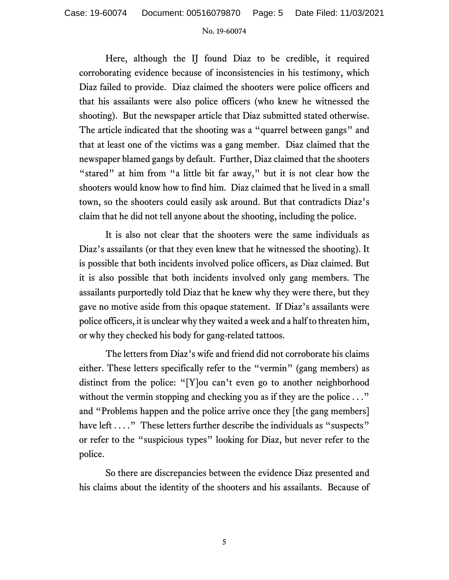Here, although the IJ found Diaz to be credible, it required corroborating evidence because of inconsistencies in his testimony, which Diaz failed to provide. Diaz claimed the shooters were police officers and that his assailants were also police officers (who knew he witnessed the shooting). But the newspaper article that Diaz submitted stated otherwise. The article indicated that the shooting was a "quarrel between gangs" and that at least one of the victims was a gang member. Diaz claimed that the newspaper blamed gangs by default. Further, Diaz claimed that the shooters "stared" at him from "a little bit far away," but it is not clear how the shooters would know how to find him. Diaz claimed that he lived in a small town, so the shooters could easily ask around. But that contradicts Diaz's claim that he did not tell anyone about the shooting, including the police.

It is also not clear that the shooters were the same individuals as Diaz's assailants (or that they even knew that he witnessed the shooting). It is possible that both incidents involved police officers, as Diaz claimed. But it is also possible that both incidents involved only gang members. The assailants purportedly told Diaz that he knew why they were there, but they gave no motive aside from this opaque statement. If Diaz's assailants were police officers, it is unclear why they waited a week and a half to threaten him, or why they checked his body for gang-related tattoos.

The letters from Diaz's wife and friend did not corroborate his claims either. These letters specifically refer to the "vermin" (gang members) as distinct from the police: "[Y]ou can't even go to another neighborhood without the vermin stopping and checking you as if they are the police . . ." and "Problems happen and the police arrive once they [the gang members] have left . . . ." These letters further describe the individuals as "suspects" or refer to the "suspicious types" looking for Diaz, but never refer to the police.

So there are discrepancies between the evidence Diaz presented and his claims about the identity of the shooters and his assailants. Because of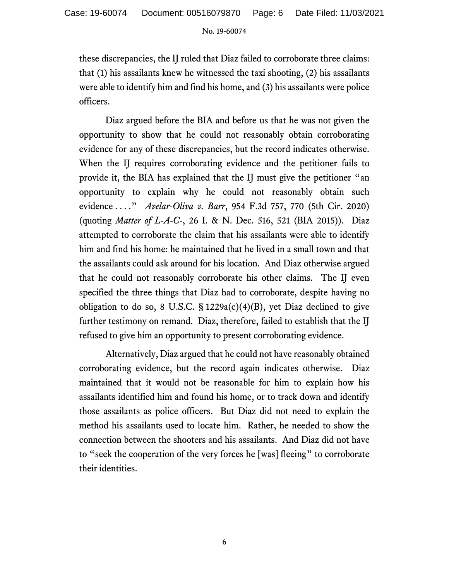these discrepancies, the IJ ruled that Diaz failed to corroborate three claims: that (1) his assailants knew he witnessed the taxi shooting, (2) his assailants were able to identify him and find his home, and (3) his assailants were police officers.

Diaz argued before the BIA and before us that he was not given the opportunity to show that he could not reasonably obtain corroborating evidence for any of these discrepancies, but the record indicates otherwise. When the IJ requires corroborating evidence and the petitioner fails to provide it, the BIA has explained that the IJ must give the petitioner "an opportunity to explain why he could not reasonably obtain such evidence . . . ." *Avelar-Oliva v. Barr*, 954 F.3d 757, 770 (5th Cir. 2020) (quoting *Matter of L-A-C-*, 26 I. & N. Dec. 516, 521 (BIA 2015)). Diaz attempted to corroborate the claim that his assailants were able to identify him and find his home: he maintained that he lived in a small town and that the assailants could ask around for his location. And Diaz otherwise argued that he could not reasonably corroborate his other claims. The IJ even specified the three things that Diaz had to corroborate, despite having no obligation to do so, 8 U.S.C.  $\S$  1229a(c)(4)(B), yet Diaz declined to give further testimony on remand. Diaz, therefore, failed to establish that the IJ refused to give him an opportunity to present corroborating evidence.

Alternatively, Diaz argued that he could not have reasonably obtained corroborating evidence, but the record again indicates otherwise. Diaz maintained that it would not be reasonable for him to explain how his assailants identified him and found his home, or to track down and identify those assailants as police officers. But Diaz did not need to explain the method his assailants used to locate him. Rather, he needed to show the connection between the shooters and his assailants. And Diaz did not have to "seek the cooperation of the very forces he [was] fleeing" to corroborate their identities.